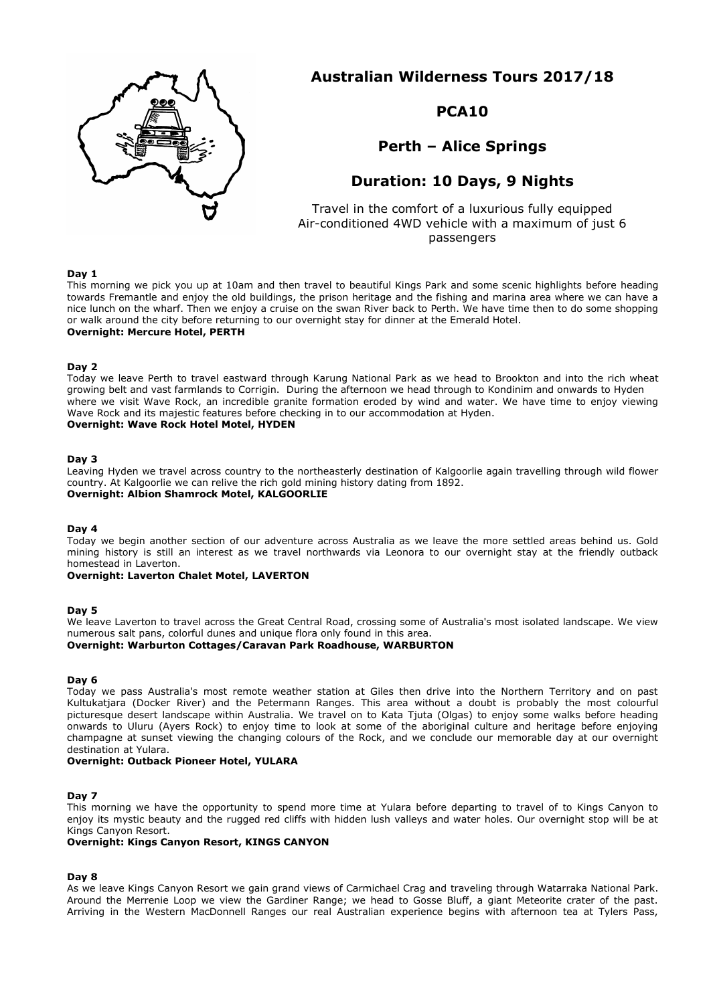

**Australian Wilderness Tours 2017/18**

## **PCA10**

**Perth – Alice Springs**

# **Duration: 10 Days, 9 Nights**

Travel in the comfort of a luxurious fully equipped Air-conditioned 4WD vehicle with a maximum of just 6 passengers

## **Day 1**

This morning we pick you up at 10am and then travel to beautiful Kings Park and some scenic highlights before heading towards Fremantle and enjoy the old buildings, the prison heritage and the fishing and marina area where we can have a nice lunch on the wharf. Then we enjoy a cruise on the swan River back to Perth. We have time then to do some shopping or walk around the city before returning to our overnight stay for dinner at the Emerald Hotel. **Overnight: Mercure Hotel, PERTH**

## **Day 2**

Today we leave Perth to travel eastward through Karung National Park as we head to Brookton and into the rich wheat growing belt and vast farmlands to Corrigin. During the afternoon we head through to Kondinim and onwards to Hyden where we visit Wave Rock, an incredible granite formation eroded by wind and water. We have time to enjoy viewing Wave Rock and its majestic features before checking in to our accommodation at Hyden. **Overnight: Wave Rock Hotel Motel, HYDEN**

## **Day 3**

Leaving Hyden we travel across country to the northeasterly destination of Kalgoorlie again travelling through wild flower country. At Kalgoorlie we can relive the rich gold mining history dating from 1892.

## **Overnight: Albion Shamrock Motel, KALGOORLIE**

#### **Day 4**

Today we begin another section of our adventure across Australia as we leave the more settled areas behind us. Gold mining history is still an interest as we travel northwards via Leonora to our overnight stay at the friendly outback homestead in Laverton.

#### **Overnight: Laverton Chalet Motel, LAVERTON**

#### **Day 5**

We leave Laverton to travel across the Great Central Road, crossing some of Australia's most isolated landscape. We view numerous salt pans, colorful dunes and unique flora only found in this area.

## **Overnight: Warburton Cottages/Caravan Park Roadhouse, WARBURTON**

#### **Day 6**

Today we pass Australia's most remote weather station at Giles then drive into the Northern Territory and on past Kultukatjara (Docker River) and the Petermann Ranges. This area without a doubt is probably the most colourful picturesque desert landscape within Australia. We travel on to Kata Tjuta (Olgas) to enjoy some walks before heading onwards to Uluru (Ayers Rock) to enjoy time to look at some of the aboriginal culture and heritage before enjoying champagne at sunset viewing the changing colours of the Rock, and we conclude our memorable day at our overnight destination at Yulara.

#### **Overnight: Outback Pioneer Hotel, YULARA**

## **Day 7**

This morning we have the opportunity to spend more time at Yulara before departing to travel of to Kings Canyon to enjoy its mystic beauty and the rugged red cliffs with hidden lush valleys and water holes. Our overnight stop will be at Kings Canyon Resort.

## **Overnight: Kings Canyon Resort, KINGS CANYON**

## **Day 8**

As we leave Kings Canyon Resort we gain grand views of Carmichael Crag and traveling through Watarraka National Park. Around the Merrenie Loop we view the Gardiner Range; we head to Gosse Bluff, a giant Meteorite crater of the past. Arriving in the Western MacDonnell Ranges our real Australian experience begins with afternoon tea at Tylers Pass,